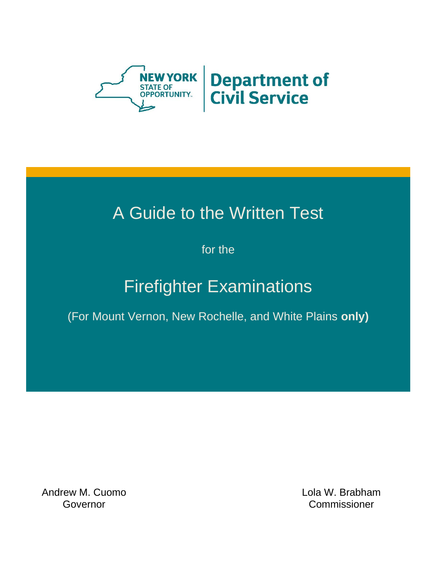

# A Guide to the Written Test

for the

# Firefighter Examinations

(For Mount Vernon, New Rochelle, and White Plains **only)**

Andrew M. Cuomo Governor

Lola W. Brabham **Commissioner**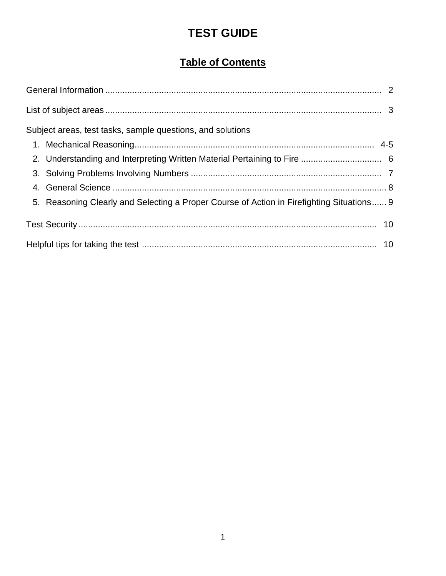# **TEST GUIDE**

# **Table of Contents**

| Subject areas, test tasks, sample questions, and solutions |                                                                                           |  |
|------------------------------------------------------------|-------------------------------------------------------------------------------------------|--|
|                                                            |                                                                                           |  |
|                                                            |                                                                                           |  |
|                                                            |                                                                                           |  |
|                                                            |                                                                                           |  |
|                                                            | 5. Reasoning Clearly and Selecting a Proper Course of Action in Firefighting Situations 9 |  |
|                                                            |                                                                                           |  |
|                                                            |                                                                                           |  |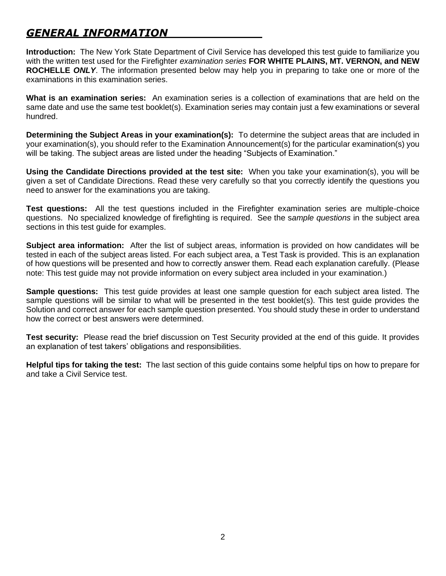# *GENERAL INFORMATION*

**Introduction:** The New York State Department of Civil Service has developed this test guide to familiarize you with the written test used for the Firefighter *examination series* **FOR WHITE PLAINS, MT. VERNON, and NEW ROCHELLE** *ONLY*. The information presented below may help you in preparing to take one or more of the examinations in this examination series.

**What is an examination series:** An examination series is a collection of examinations that are held on the same date and use the same test booklet(s). Examination series may contain just a few examinations or several hundred.

**Determining the Subject Areas in your examination(s):** To determine the subject areas that are included in your examination(s), you should refer to the Examination Announcement(s) for the particular examination(s) you will be taking. The subject areas are listed under the heading "Subjects of Examination."

**Using the Candidate Directions provided at the test site:** When you take your examination(s), you will be given a set of Candidate Directions. Read these very carefully so that you correctly identify the questions you need to answer for the examinations you are taking.

**Test questions:** All the test questions included in the Firefighter examination series are multiple-choice questions. No specialized knowledge of firefighting is required. See the s*ample questions* in the subject area sections in this test guide for examples.

**Subject area information:** After the list of subject areas, information is provided on how candidates will be tested in each of the subject areas listed. For each subject area, a Test Task is provided. This is an explanation of how questions will be presented and how to correctly answer them. Read each explanation carefully. (Please note: This test guide may not provide information on every subject area included in your examination.)

**Sample questions:** This test guide provides at least one sample question for each subject area listed. The sample questions will be similar to what will be presented in the test booklet(s). This test guide provides the Solution and correct answer for each sample question presented. You should study these in order to understand how the correct or best answers were determined.

**Test security:** Please read the brief discussion on Test Security provided at the end of this guide. It provides an explanation of test takers' obligations and responsibilities.

**Helpful tips for taking the test:** The last section of this guide contains some helpful tips on how to prepare for and take a Civil Service test.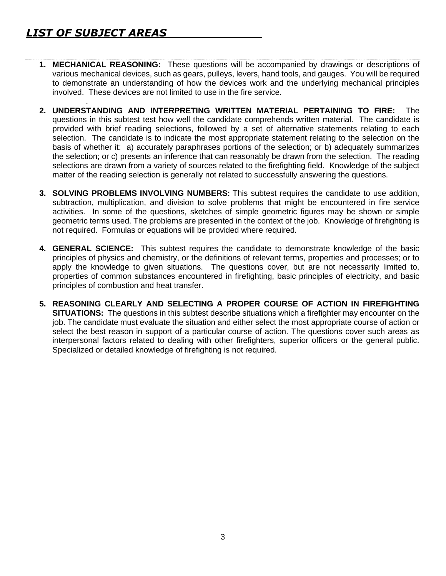- **1. MECHANICAL REASONING:** These questions will be accompanied by drawings or descriptions of various mechanical devices, such as gears, pulleys, levers, hand tools, and gauges. You will be required to demonstrate an understanding of how the devices work and the underlying mechanical principles involved. These devices are not limited to use in the fire service.
- . **2. UNDERSTANDING AND INTERPRETING WRITTEN MATERIAL PERTAINING TO FIRE:** The questions in this subtest test how well the candidate comprehends written material. The candidate is provided with brief reading selections, followed by a set of alternative statements relating to each selection. The candidate is to indicate the most appropriate statement relating to the selection on the basis of whether it: a) accurately paraphrases portions of the selection; or b) adequately summarizes the selection; or c) presents an inference that can reasonably be drawn from the selection. The reading selections are drawn from a variety of sources related to the firefighting field. Knowledge of the subject matter of the reading selection is generally not related to successfully answering the questions.
- **3. SOLVING PROBLEMS INVOLVING NUMBERS:** This subtest requires the candidate to use addition, subtraction, multiplication, and division to solve problems that might be encountered in fire service activities. In some of the questions, sketches of simple geometric figures may be shown or simple geometric terms used. The problems are presented in the context of the job. Knowledge of firefighting is not required. Formulas or equations will be provided where required.
- **4. GENERAL SCIENCE:** This subtest requires the candidate to demonstrate knowledge of the basic principles of physics and chemistry, or the definitions of relevant terms, properties and processes; or to apply the knowledge to given situations. The questions cover, but are not necessarily limited to, properties of common substances encountered in firefighting, basic principles of electricity, and basic principles of combustion and heat transfer.
- **5. REASONING CLEARLY AND SELECTING A PROPER COURSE OF ACTION IN FIREFIGHTING SITUATIONS:** The questions in this subtest describe situations which a firefighter may encounter on the job. The candidate must evaluate the situation and either select the most appropriate course of action or select the best reason in support of a particular course of action. The questions cover such areas as interpersonal factors related to dealing with other firefighters, superior officers or the general public. Specialized or detailed knowledge of firefighting is not required.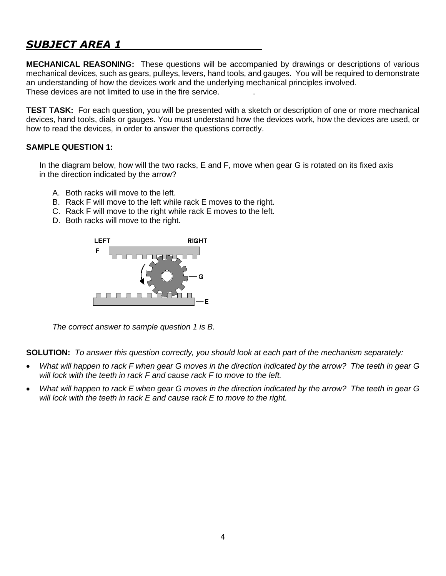**MECHANICAL REASONING:** These questions will be accompanied by drawings or descriptions of various mechanical devices, such as gears, pulleys, levers, hand tools, and gauges. You will be required to demonstrate an understanding of how the devices work and the underlying mechanical principles involved. These devices are not limited to use in the fire service. .

**TEST TASK:** For each question, you will be presented with a sketch or description of one or more mechanical devices, hand tools, dials or gauges. You must understand how the devices work, how the devices are used, or how to read the devices, in order to answer the questions correctly.

## **SAMPLE QUESTION 1:**

In the diagram below, how will the two racks, E and F, move when gear G is rotated on its fixed axis in the direction indicated by the arrow?

- A. Both racks will move to the left.
- B. Rack F will move to the left while rack E moves to the right.
- C. Rack F will move to the right while rack E moves to the left.
- D. Both racks will move to the right.



*The correct answer to sample question 1 is B.*

**SOLUTION:** *To answer this question correctly, you should look at each part of the mechanism separately:* 

- *What will happen to rack F when gear G moves in the direction indicated by the arrow? The teeth in gear G will lock with the teeth in rack F and cause rack F to move to the left.*
- *What will happen to rack E when gear G moves in the direction indicated by the arrow? The teeth in gear G will lock with the teeth in rack E and cause rack E to move to the right.*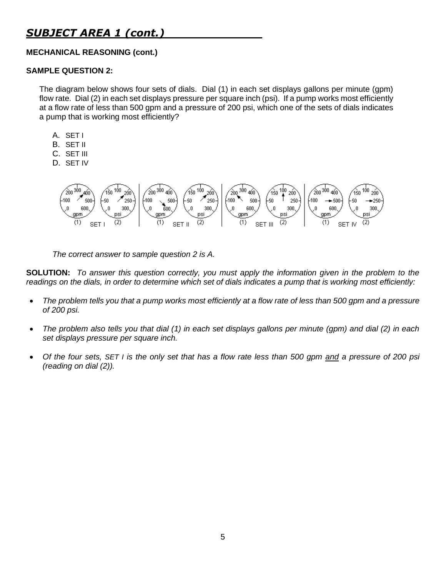## **MECHANICAL REASONING (cont.)**

### **SAMPLE QUESTION 2:**

The diagram below shows four sets of dials. Dial (1) in each set displays gallons per minute (gpm) flow rate. Dial (2) in each set displays pressure per square inch (psi). If a pump works most efficiently at a flow rate of less than 500 gpm and a pressure of 200 psi, which one of the sets of dials indicates a pump that is working most efficiently?

- A. SET I
- B. SET II
- C. SET III
- D. SET IV



*The correct answer to sample question 2 is A.*

**SOLUTION:** *To answer this question correctly, you must apply the information given in the problem to the*  readings on the dials, in order to determine which set of dials indicates a pump that is working most efficiently:

- *The problem tells you that a pump works most efficiently at a flow rate of less than 500 gpm and a pressure of 200 psi.*
- *The problem also tells you that dial (1) in each set displays gallons per minute (gpm) and dial (2) in each set displays pressure per square inch.*
- *Of the four sets, SET I is the only set that has a flow rate less than 500 gpm and a pressure of 200 psi (reading on dial (2)).*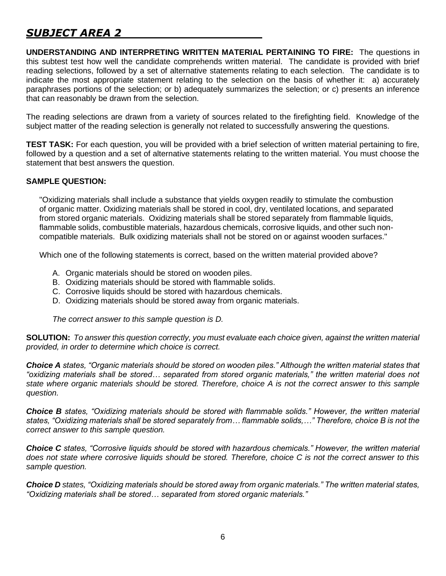**UNDERSTANDING AND INTERPRETING WRITTEN MATERIAL PERTAINING TO FIRE:** The questions in this subtest test how well the candidate comprehends written material. The candidate is provided with brief reading selections, followed by a set of alternative statements relating to each selection. The candidate is to indicate the most appropriate statement relating to the selection on the basis of whether it: a) accurately paraphrases portions of the selection; or b) adequately summarizes the selection; or c) presents an inference that can reasonably be drawn from the selection.

The reading selections are drawn from a variety of sources related to the firefighting field. Knowledge of the subject matter of the reading selection is generally not related to successfully answering the questions.

**TEST TASK:** For each question, you will be provided with a brief selection of written material pertaining to fire, followed by a question and a set of alternative statements relating to the written material. You must choose the statement that best answers the question.

## **SAMPLE QUESTION:**

"Oxidizing materials shall include a substance that yields oxygen readily to stimulate the combustion of organic matter. Oxidizing materials shall be stored in cool, dry, ventilated locations, and separated from stored organic materials. Oxidizing materials shall be stored separately from flammable liquids, flammable solids, combustible materials, hazardous chemicals, corrosive liquids, and other such noncompatible materials. Bulk oxidizing materials shall not be stored on or against wooden surfaces."

Which one of the following statements is correct, based on the written material provided above?

- A. Organic materials should be stored on wooden piles.
- B. Oxidizing materials should be stored with flammable solids.
- C. Corrosive liquids should be stored with hazardous chemicals.
- D. Oxidizing materials should be stored away from organic materials.

*The correct answer to this sample question is D.*

**SOLUTION:** *To answer this question correctly, you must evaluate each choice given, against the written material provided, in order to determine which choice is correct.*

*Choice A states, "Organic materials should be stored on wooden piles." Although the written material states that "oxidizing materials shall be stored… separated from stored organic materials," the written material does not state where organic materials should be stored. Therefore, choice A is not the correct answer to this sample question.*

*Choice B states, "Oxidizing materials should be stored with flammable solids." However, the written material states, "Oxidizing materials shall be stored separately from… flammable solids,…" Therefore, choice B is not the correct answer to this sample question.* 

*Choice C states, "Corrosive liquids should be stored with hazardous chemicals." However, the written material does not state where corrosive liquids should be stored. Therefore, choice C is not the correct answer to this sample question.*

*Choice D states, "Oxidizing materials should be stored away from organic materials." The written material states, "Oxidizing materials shall be stored… separated from stored organic materials."*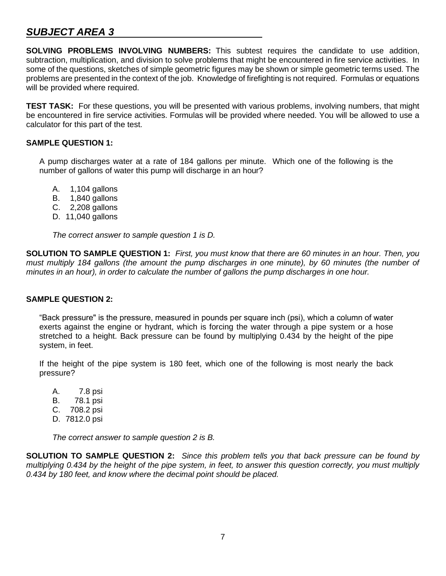**SOLVING PROBLEMS INVOLVING NUMBERS:** This subtest requires the candidate to use addition, subtraction, multiplication, and division to solve problems that might be encountered in fire service activities. In some of the questions, sketches of simple geometric figures may be shown or simple geometric terms used. The problems are presented in the context of the job. Knowledge of firefighting is not required. Formulas or equations will be provided where required.

**TEST TASK:** For these questions, you will be presented with various problems, involving numbers, that might be encountered in fire service activities. Formulas will be provided where needed. You will be allowed to use a calculator for this part of the test.

## **SAMPLE QUESTION 1:**

A pump discharges water at a rate of 184 gallons per minute. Which one of the following is the number of gallons of water this pump will discharge in an hour?

- A. 1,104 gallons
- B. 1,840 gallons
- C. 2,208 gallons
- D. 11,040 gallons

*The correct answer to sample question 1 is D.*

**SOLUTION TO SAMPLE QUESTION 1:** *First, you must know that there are 60 minutes in an hour. Then, you must multiply 184 gallons (the amount the pump discharges in one minute), by 60 minutes (the number of minutes in an hour), in order to calculate the number of gallons the pump discharges in one hour.*

## **SAMPLE QUESTION 2:**

"Back pressure" is the pressure, measured in pounds per square inch (psi), which a column of water exerts against the engine or hydrant, which is forcing the water through a pipe system or a hose stretched to a height. Back pressure can be found by multiplying 0.434 by the height of the pipe system, in feet.

If the height of the pipe system is 180 feet, which one of the following is most nearly the back pressure?

A. 7.8 psi B. 78.1 psi C. 708.2 psi D. 7812.0 psi

*The correct answer to sample question 2 is B.*

**SOLUTION TO SAMPLE QUESTION 2:** *Since this problem tells you that back pressure can be found by multiplying 0.434 by the height of the pipe system, in feet, to answer this question correctly, you must multiply 0.434 by 180 feet, and know where the decimal point should be placed.*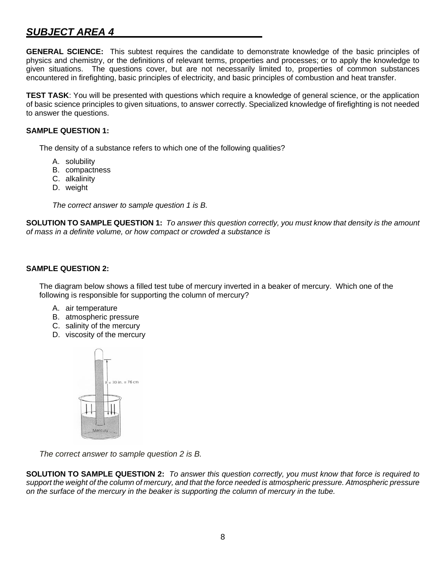**GENERAL SCIENCE:** This subtest requires the candidate to demonstrate knowledge of the basic principles of physics and chemistry, or the definitions of relevant terms, properties and processes; or to apply the knowledge to given situations. The questions cover, but are not necessarily limited to, properties of common substances encountered in firefighting, basic principles of electricity, and basic principles of combustion and heat transfer.

**TEST TASK**: You will be presented with questions which require a knowledge of general science, or the application of basic science principles to given situations, to answer correctly. Specialized knowledge of firefighting is not needed to answer the questions.

### **SAMPLE QUESTION 1:**

The density of a substance refers to which one of the following qualities?

- A. solubility
- B. compactness
- C. alkalinity
- D. weight

*The correct answer to sample question 1 is B.*

**SOLUTION TO SAMPLE QUESTION 1:** *To answer this question correctly, you must know that density is the amount of mass in a definite volume, or how compact or crowded a substance is*

#### **SAMPLE QUESTION 2:**

The diagram below shows a filled test tube of mercury inverted in a beaker of mercury. Which one of the following is responsible for supporting the column of mercury?

- A. air temperature
- B. atmospheric pressure
- C. salinity of the mercury
- D. viscosity of the mercury



*The correct answer to sample question 2 is B.* 

**SOLUTION TO SAMPLE QUESTION 2:** *To answer this question correctly, you must know that force is required to support the weight of the column of mercury, and that the force needed is atmospheric pressure. Atmospheric pressure on the surface of the mercury in the beaker is supporting the column of mercury in the tube.*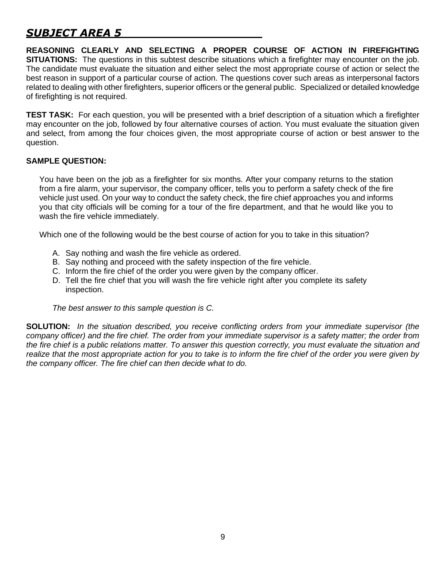**REASONING CLEARLY AND SELECTING A PROPER COURSE OF ACTION IN FIREFIGHTING SITUATIONS:** The questions in this subtest describe situations which a firefighter may encounter on the job. The candidate must evaluate the situation and either select the most appropriate course of action or select the best reason in support of a particular course of action. The questions cover such areas as interpersonal factors related to dealing with other firefighters, superior officers or the general public. Specialized or detailed knowledge of firefighting is not required.

**TEST TASK:** For each question, you will be presented with a brief description of a situation which a firefighter may encounter on the job, followed by four alternative courses of action. You must evaluate the situation given and select, from among the four choices given, the most appropriate course of action or best answer to the question.

## **SAMPLE QUESTION:**

You have been on the job as a firefighter for six months. After your company returns to the station from a fire alarm, your supervisor, the company officer, tells you to perform a safety check of the fire vehicle just used. On your way to conduct the safety check, the fire chief approaches you and informs you that city officials will be coming for a tour of the fire department, and that he would like you to wash the fire vehicle immediately.

Which one of the following would be the best course of action for you to take in this situation?

- A. Say nothing and wash the fire vehicle as ordered.
- B. Say nothing and proceed with the safety inspection of the fire vehicle.
- C. Inform the fire chief of the order you were given by the company officer.
- D. Tell the fire chief that you will wash the fire vehicle right after you complete its safety inspection.

*The best answer to this sample question is C.*

**SOLUTION:** *In the situation described, you receive conflicting orders from your immediate supervisor (the company officer) and the fire chief. The order from your immediate supervisor is a safety matter; the order from the fire chief is a public relations matter. To answer this question correctly, you must evaluate the situation and*  realize that the most appropriate action for you to take is to inform the fire chief of the order you were given by *the company officer. The fire chief can then decide what to do.*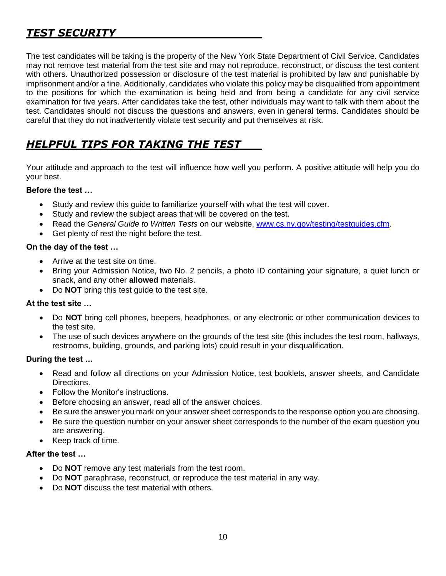# *TEST SECURITY*

The test candidates will be taking is the property of the New York State Department of Civil Service. Candidates may not remove test material from the test site and may not reproduce, reconstruct, or discuss the test content with others. Unauthorized possession or disclosure of the test material is prohibited by law and punishable by imprisonment and/or a fine. Additionally, candidates who violate this policy may be disqualified from appointment to the positions for which the examination is being held and from being a candidate for any civil service examination for five years. After candidates take the test, other individuals may want to talk with them about the test. Candidates should not discuss the questions and answers, even in general terms. Candidates should be careful that they do not inadvertently violate test security and put themselves at risk.

# *HELPFUL TIPS FOR TAKING THE TEST*

Your attitude and approach to the test will influence how well you perform. A positive attitude will help you do your best.

## **Before the test …**

- Study and review this guide to familiarize yourself with what the test will cover.
- Study and review the subject areas that will be covered on the test.
- Read the *General Guide to Written Tests* on our website, [www.cs.ny.gov/testing/testguides.cfm.](http://www.cs.ny.gov/testing/testguides.cfm)
- Get plenty of rest the night before the test.

## **On the day of the test …**

- Arrive at the test site on time.
- Bring your Admission Notice, two No. 2 pencils, a photo ID containing your signature, a quiet lunch or snack, and any other **allowed** materials.
- Do **NOT** bring this test guide to the test site.

## **At the test site …**

- Do **NOT** bring cell phones, beepers, headphones, or any electronic or other communication devices to the test site.
- The use of such devices anywhere on the grounds of the test site (this includes the test room, hallways, restrooms, building, grounds, and parking lots) could result in your disqualification.

## **During the test …**

- Read and follow all directions on your Admission Notice, test booklets, answer sheets, and Candidate Directions.
- Follow the Monitor's instructions.
- Before choosing an answer, read all of the answer choices.
- Be sure the answer you mark on your answer sheet corresponds to the response option you are choosing.
- Be sure the question number on your answer sheet corresponds to the number of the exam question you are answering.
- Keep track of time.

## **After the test …**

- Do **NOT** remove any test materials from the test room.
- Do **NOT** paraphrase, reconstruct, or reproduce the test material in any way.
- Do **NOT** discuss the test material with others.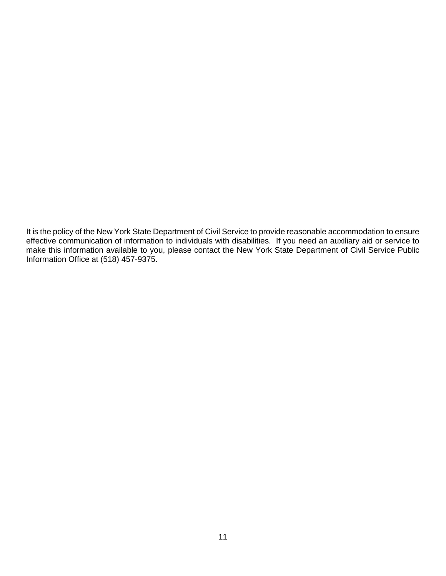It is the policy of the New York State Department of Civil Service to provide reasonable accommodation to ensure effective communication of information to individuals with disabilities. If you need an auxiliary aid or service to make this information available to you, please contact the New York State Department of Civil Service Public Information Office at (518) 457-9375.